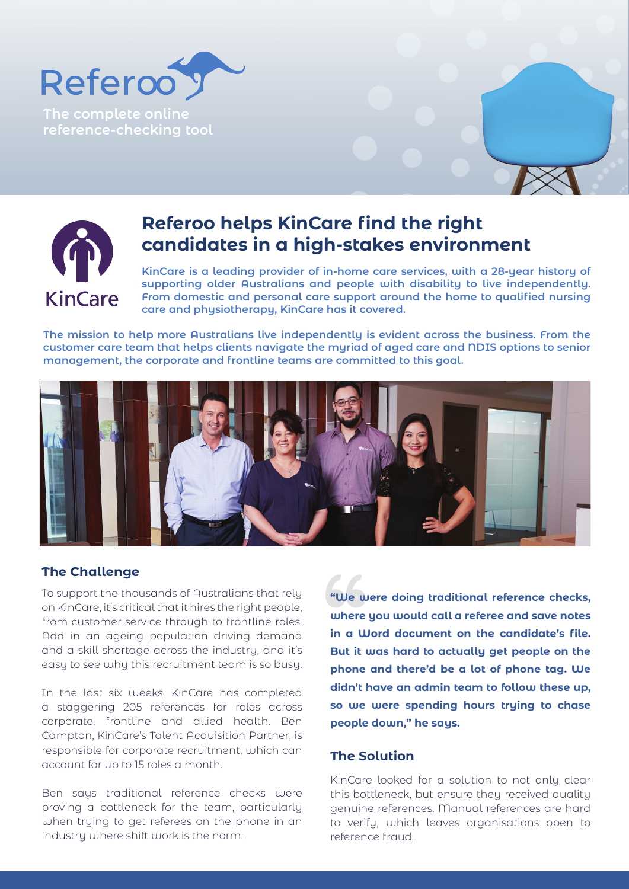



## **Referoo helps KinCare find the right candidates in a high-stakes environment**

**KinCare is a leading provider of in-home care services, with a 28-year history of supporting older Australians and people with disability to live independently. From domestic and personal care support around the home to qualified nursing care and physiotherapy, KinCare has it covered.** 

**The mission to help more Australians live independently is evident across the business. From the customer care team that helps clients navigate the myriad of aged care and NDIS options to senior management, the corporate and frontline teams are committed to this goal.**



## **The Challenge**

To support the thousands of Australians that rely on KinCare, it's critical that it hires the right people, from customer service through to frontline roles. Add in an ageing population driving demand and a skill shortage across the industry, and it's easy to see why this recruitment team is so busy.

In the last six weeks, KinCare has completed a staggering 205 references for roles across corporate, frontline and allied health. Ben Campton, KinCare's Talent Acquisition Partner, is responsible for corporate recruitment, which can account for up to 15 roles a month.

Ben says traditional reference checks were proving a bottleneck for the team, particularly when trying to get referees on the phone in an industry where shift work is the norm.

**"We were doing traditional reference checks, where you would call a referee and save notes in a Word document on the candidate's file. But it was hard to actually get people on the phone and there'd be a lot of phone tag. We didn't have an admin team to follow these up, so we were spending hours trying to chase people down," he says.**

## **The Solution**

KinCare looked for a solution to not only clear this bottleneck, but ensure they received quality genuine references. Manual references are hard to verify, which leaves organisations open to reference fraud.